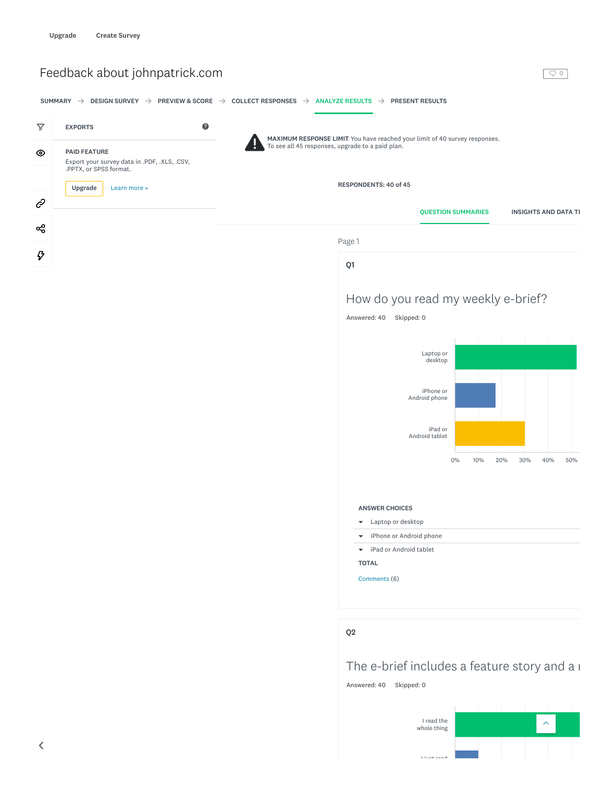

Answered: 40 Skipped: 0

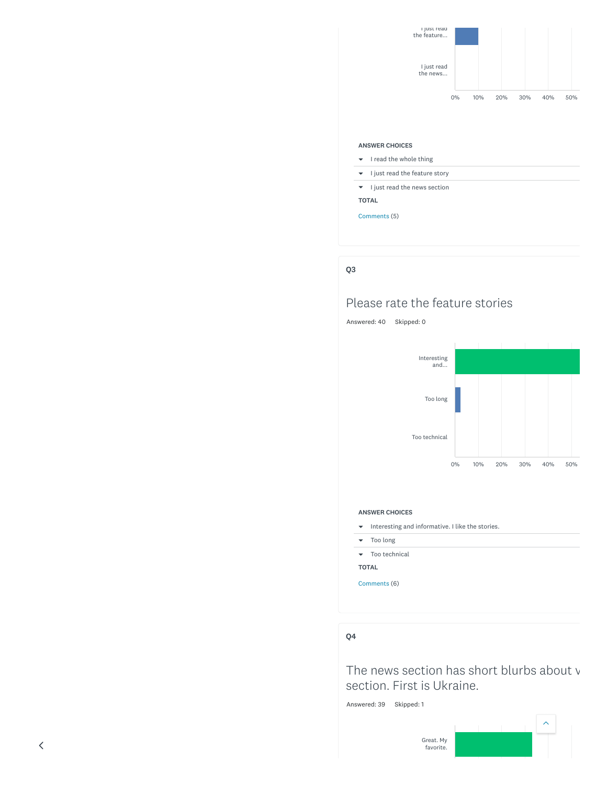

### ANSWER CHOICES

- $\bullet$  I read the whole thing
- $\bullet$  I just read the feature story
- $\blacktriangleright$  I just read the news section

TOTAL

Comments (5)

### Q3

# Please rate the feature stories

Answered: 40 Skipped: 0



#### ANSWER CHOICES



– Too long

– Too technical

TOTAL

Comments (6)

### Q4

The news section has short blurbs about v section. First is Ukraine.

Answered: 39 Skipped: 1

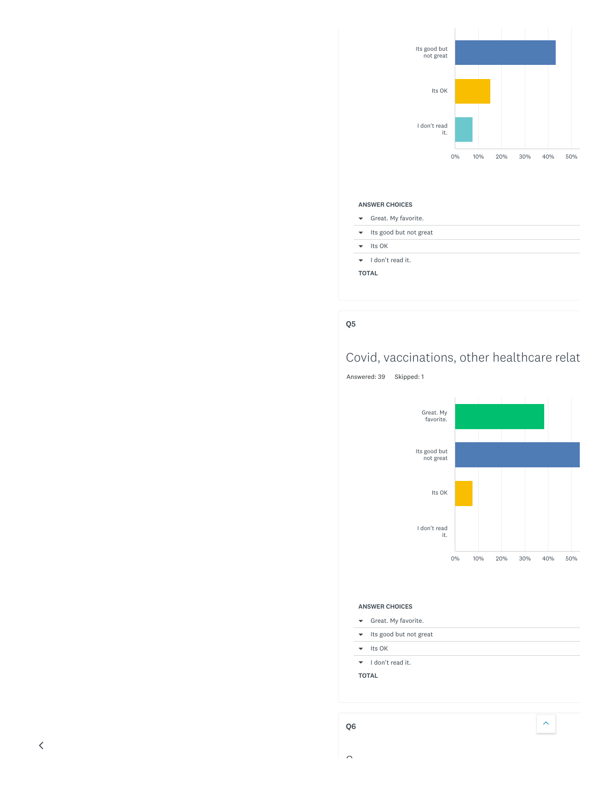

### ANSWER CHOICES

- Great. My favorite.
- $\bullet\quad$  Its good but not great
- $\blacktriangleright$  Its OK
- I don't read it.
- TOTAL

### Q5

# Covid, vaccinations, other healthcare relat

Answered: 39 Skipped: 1



#### ANSWER CHOICES

- Great. My favorite.
- $\bullet\quad$  Its good but not great

 $\left\langle \boldsymbol{\gamma}\right\rangle$ 

- $\blacktriangleright$  Its OK
- I don't read it.
- TOTAL

 $\sim$ 

 $\overline{\left\langle \right\rangle }$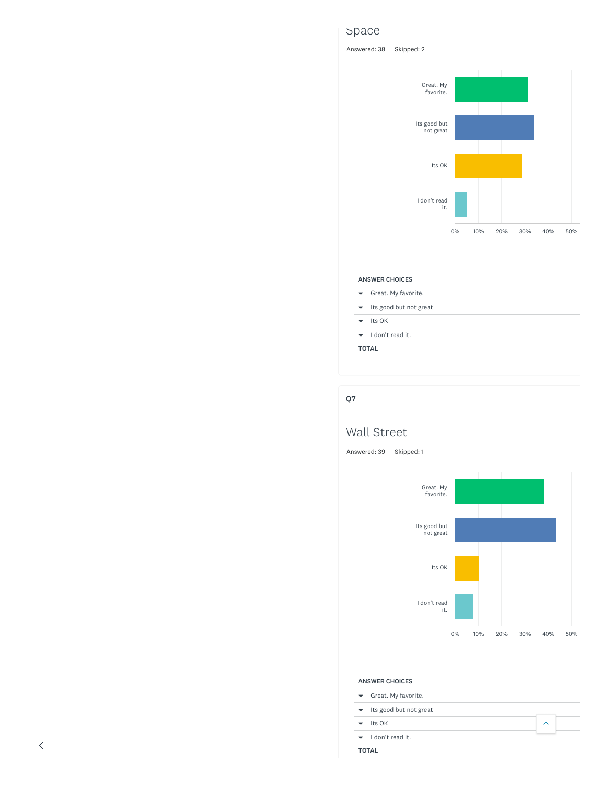# Space

Answered: 38 Skipped: 2



#### ANSWER CHOICES

- Great. My favorite.
- $\bullet$  Its good but not great
- $\blacktriangleright$  Its OK
- I don't read it.
- TOTAL

### Q7

# Wall Street

Answered: 39 Skipped: 1



 $\hat{\frown}$ 

### ANSWER CHOICES

- Great. My favorite.
- Its good but not great
- $\blacktriangleright$  Its OK
- I don't read it.
- TOTAL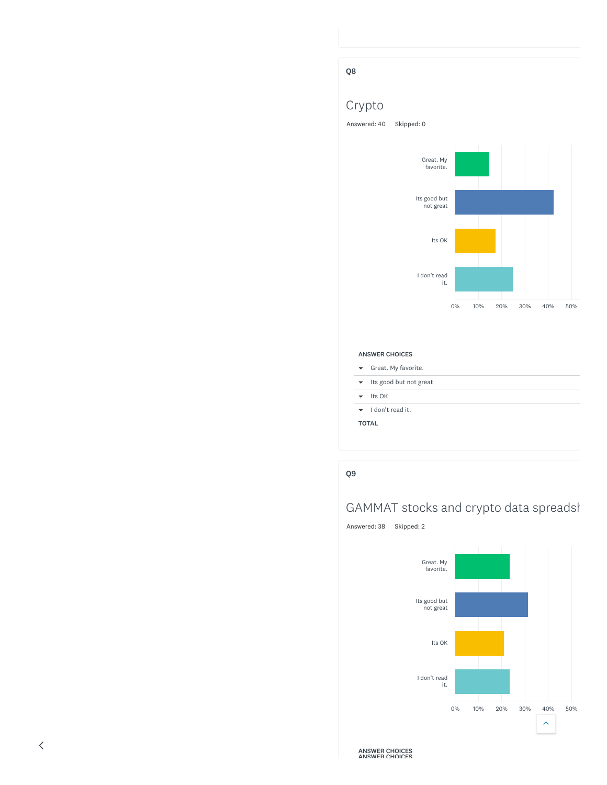# Q8

# Crypto

Answered: 40 Skipped: 0





#### ANSWER CHOICES

- Great. My favorite.
- $\bullet$  Its good but not great
- $\blacktriangleright$  Its OK
- $\bullet$  I don't read it.
- TOTAL

### Q9

# GAMMAT stocks and crypto data spreadsl

Answered: 38 Skipped: 2